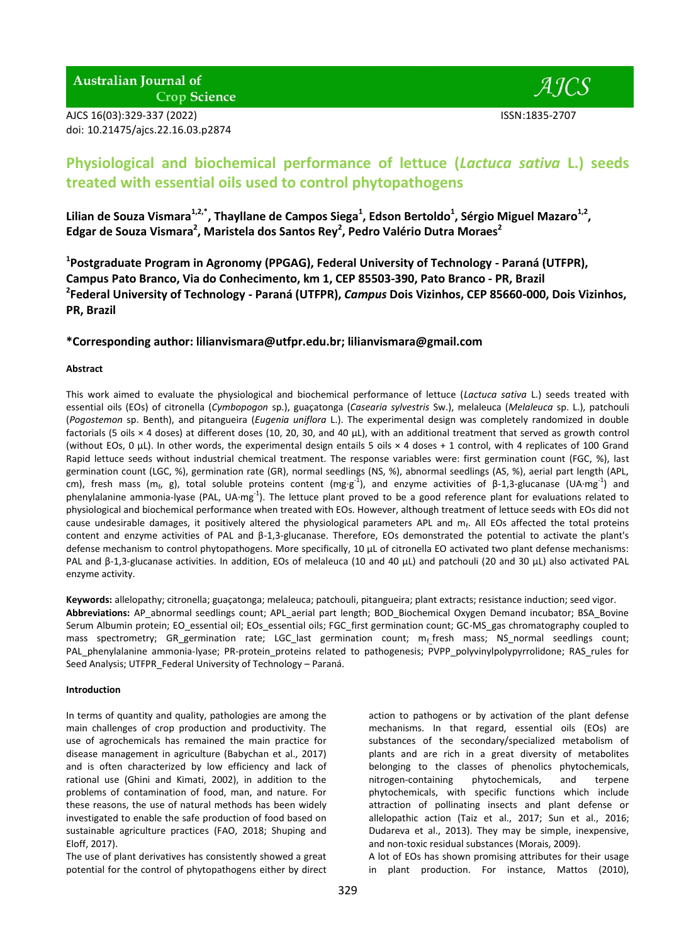**Australian Journal of Crop Science** 

AJCS 16(03):329-337 (2022) ISSN:1835-2707 doi: 10.21475/ajcs.22.16.03.p2874



# **Physiological and biochemical performance of lettuce (***Lactuca sativa* **L.) seeds treated with essential oils used to control phytopathogens**

Lilian de Souza Vismara<sup>1,2,\*</sup>, Thayllane de Campos Siega<sup>1</sup>, Edson Bertoldo<sup>1</sup>, Sérgio Miguel Mazaro<sup>1,2</sup>, **Edgar de Souza Vismara<sup>2</sup> , Maristela dos Santos Rey<sup>2</sup> , Pedro Valério Dutra Moraes<sup>2</sup>**

**1 Postgraduate Program in Agronomy (PPGAG), Federal University of Technology - Paraná (UTFPR), Campus Pato Branco, Via do Conhecimento, km 1, CEP 85503-390, Pato Branco - PR, Brazil 2 Federal University of Technology - Paraná (UTFPR),** *Campus* **Dois Vizinhos, CEP 85660-000, Dois Vizinhos, PR, Brazil**

# **\*Corresponding author: [lilianvismara@utfpr.edu.br;](mailto:lilianvismara@utfpr.edu.br) [lilianvismara@gmail.com](mailto:lilianvismara@gmail.com)**

## **Abstract**

This work aimed to evaluate the physiological and biochemical performance of lettuce (*Lactuca sativa* L.) seeds treated with essential oils (EOs) of citronella (*Cymbopogon* sp.), guaçatonga (*Casearia sylvestris* Sw.), melaleuca (*Melaleuca* sp. L.), patchouli (*Pogostemon* sp. Benth), and pitangueira (*Eugenia uniflora* L.). The experimental design was completely randomized in double factorials (5 oils × 4 doses) at different doses (10, 20, 30, and 40 μL), with an additional treatment that served as growth control (without EOs, 0 μL). In other words, the experimental design entails 5 oils × 4 doses + 1 control, with 4 replicates of 100 Grand Rapid lettuce seeds without industrial chemical treatment. The response variables were: first germination count (FGC, %), last germination count (LGC, %), germination rate (GR), normal seedlings (NS, %), abnormal seedlings (AS, %), aerial part length (APL, cm), fresh mass (m<sub>f</sub>, g), total soluble proteins content (mg·g<sup>-1</sup>), and enzyme activities of β-1,3-glucanase (UA·mg<sup>-1</sup>) and phenylalanine ammonia-lyase (PAL, UA·mg<sup>-1</sup>). The lettuce plant proved to be a good reference plant for evaluations related to physiological and biochemical performance when treated with EOs. However, although treatment of lettuce seeds with EOs did not cause undesirable damages, it positively altered the physiological parameters APL and  $m_f$ . All EOs affected the total proteins content and enzyme activities of PAL and β-1,3-glucanase. Therefore, EOs demonstrated the potential to activate the plant's defense mechanism to control phytopathogens. More specifically, 10 μL of citronella EO activated two plant defense mechanisms: PAL and β-1,3-glucanase activities. In addition, EOs of melaleuca (10 and 40 μL) and patchouli (20 and 30 μL) also activated PAL enzyme activity.

**Keywords:** allelopathy; citronella; guaçatonga; melaleuca; patchouli, pitangueira; plant extracts; resistance induction; seed vigor. **Abbreviations:** AP\_abnormal seedlings count; APL\_aerial part length; BOD\_Biochemical Oxygen Demand incubator; BSA\_Bovine Serum Albumin protein; EO\_essential oil; EOs\_essential oils; FGC\_first germination count; GC-MS\_gas chromatography coupled to mass spectrometry; GR germination rate; LGC last germination count; m<sub>f</sub> fresh mass; NS normal seedlings count; PAL\_phenylalanine ammonia-lyase; PR-protein proteins related to pathogenesis; PVPP\_polyvinylpolypyrrolidone; RAS\_rules for Seed Analysis; UTFPR Federal University of Technology – Paraná.

# **Introduction**

In terms of quantity and quality, pathologies are among the main challenges of crop production and productivity. The use of agrochemicals has remained the main practice for disease management in agriculture (Babychan et al., 2017) and is often characterized by low efficiency and lack of rational use (Ghini and Kimati, 2002), in addition to the problems of contamination of food, man, and nature. For these reasons, the use of natural methods has been widely investigated to enable the safe production of food based on sustainable agriculture practices (FAO, 2018; Shuping and Eloff, 2017).

The use of plant derivatives has consistently showed a great potential for the control of phytopathogens either by direct

action to pathogens or by activation of the plant defense mechanisms. In that regard, essential oils (EOs) are substances of the secondary/specialized metabolism of plants and are rich in a great diversity of metabolites belonging to the classes of phenolics phytochemicals, nitrogen-containing phytochemicals, and terpene phytochemicals, with specific functions which include attraction of pollinating insects and plant defense or allelopathic action (Taiz et al., 2017; Sun et al., 2016; Dudareva et al., 2013). They may be simple, inexpensive, and non-toxic residual substances (Morais, 2009).

A lot of EOs has shown promising attributes for their usage in plant production. For instance, Mattos (2010),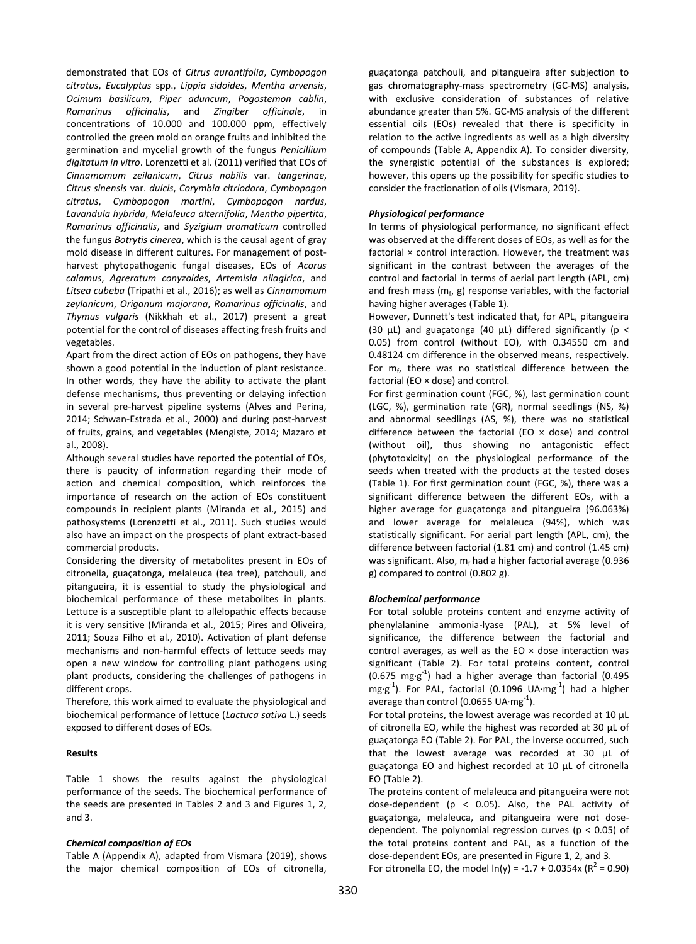demonstrated that EOs of *Citrus aurantifolia*, *Cymbopogon citratus*, *Eucalyptus* spp., *Lippia sidoides*, *Mentha arvensis*, *Ocimum basilicum*, *Piper aduncum*, *Pogostemon cablin*, *Romarinus officinalis*, and *Zingiber officinale*, in concentrations of 10.000 and 100.000 ppm, effectively controlled the green mold on orange fruits and inhibited the germination and mycelial growth of the fungus *Penicillium digitatum in vitro*. Lorenzetti et al. (2011) verified that EOs of *Cinnamomum zeilanicum*, *Citrus nobilis* var. *tangerinae*, *Citrus sinensis* var. *dulcis*, *Corymbia citriodora*, *Cymbopogon citratus*, *Cymbopogon martini*, *Cymbopogon nardus*, *Lavandula hybrida*, *Melaleuca alternifolia*, *Mentha pipertita*, *Romarinus officinalis*, and *Syzigium aromaticum* controlled the fungus *Botrytis cinerea*, which is the causal agent of gray mold disease in different cultures. For management of postharvest phytopathogenic fungal diseases, EOs of *Acorus calamus*, *Agreratum conyzoides*, *Artemisia nilagirica*, and *Litsea cubeba* (Tripathi et al., 2016); as well as *Cinnamomum zeylanicum*, *Origanum majorana*, *Romarinus officinalis*, and *Thymus vulgaris* (Nikkhah et al., 2017) present a great potential for the control of diseases affecting fresh fruits and vegetables.

Apart from the direct action of EOs on pathogens, they have shown a good potential in the induction of plant resistance. In other words, they have the ability to activate the plant defense mechanisms, thus preventing or delaying infection in several pre-harvest pipeline systems (Alves and Perina, 2014; Schwan-Estrada et al., 2000) and during post-harvest of fruits, grains, and vegetables (Mengiste, 2014; Mazaro et al., 2008).

Although several studies have reported the potential of EOs, there is paucity of information regarding their mode of action and chemical composition, which reinforces the importance of research on the action of EOs constituent compounds in recipient plants (Miranda et al., 2015) and pathosystems (Lorenzetti et al., 2011). Such studies would also have an impact on the prospects of plant extract-based commercial products.

Considering the diversity of metabolites present in EOs of citronella, guaçatonga, melaleuca (tea tree), patchouli, and pitangueira, it is essential to study the physiological and biochemical performance of these metabolites in plants. Lettuce is a susceptible plant to allelopathic effects because it is very sensitive (Miranda et al., 2015; Pires and Oliveira, 2011; Souza Filho et al., 2010). Activation of plant defense mechanisms and non-harmful effects of lettuce seeds may open a new window for controlling plant pathogens using plant products, considering the challenges of pathogens in different crops.

Therefore, this work aimed to evaluate the physiological and biochemical performance of lettuce (*Lactuca sativa* L.) seeds exposed to different doses of EOs.

## **Results**

Table 1 shows the results against the physiological performance of the seeds. The biochemical performance of the seeds are presented in Tables 2 and 3 and Figures 1, 2, and 3.

## *Chemical composition of EOs*

Table A (Appendix A), adapted from Vismara (2019), shows the major chemical composition of EOs of citronella,

guaçatonga patchouli, and pitangueira after subjection to gas chromatography-mass spectrometry (GC-MS) analysis, with exclusive consideration of substances of relative abundance greater than 5%. GC-MS analysis of the different essential oils (EOs) revealed that there is specificity in relation to the active ingredients as well as a high diversity of compounds (Table A, Appendix A). To consider diversity, the synergistic potential of the substances is explored; however, this opens up the possibility for specific studies to consider the fractionation of oils (Vismara, 2019).

## *Physiological performance*

In terms of physiological performance, no significant effect was observed at the different doses of EOs, as well as for the factorial × control interaction. However, the treatment was significant in the contrast between the averages of the control and factorial in terms of aerial part length (APL, cm) and fresh mass ( $m_f$ , g) response variables, with the factorial having higher averages (Table 1).

However, Dunnett's test indicated that, for APL, pitangueira (30 μL) and guaçatonga (40 μL) differed significantly (p < 0.05) from control (without EO), with 0.34550 cm and 0.48124 cm difference in the observed means, respectively. For  $m_f$ , there was no statistical difference between the factorial (EO × dose) and control.

For first germination count (FGC, %), last germination count (LGC, %), germination rate (GR), normal seedlings (NS, %) and abnormal seedlings (AS, %), there was no statistical difference between the factorial (EO  $\times$  dose) and control (without oil), thus showing no antagonistic effect (phytotoxicity) on the physiological performance of the seeds when treated with the products at the tested doses (Table 1). For first germination count (FGC, %), there was a significant difference between the different EOs, with a higher average for guaçatonga and pitangueira (96.063%) and lower average for melaleuca (94%), which was statistically significant. For aerial part length (APL, cm), the difference between factorial (1.81 cm) and control (1.45 cm) was significant. Also,  $m_f$  had a higher factorial average (0.936 g) compared to control (0.802 g).

## *Biochemical performance*

For total soluble proteins content and enzyme activity of phenylalanine ammonia-lyase (PAL), at 5% level of significance, the difference between the factorial and control averages, as well as the EO  $\times$  dose interaction was significant (Table 2). For total proteins content, control  $(0.675 \text{ mg·g}^{-1})$  had a higher average than factorial  $(0.495$  $mg·g<sup>-1</sup>$ ). For PAL, factorial (0.1096 UA·mg<sup>-1</sup>) had a higher average than control (0.0655 UA $\cdot$ mg $^{-1}$ ).

For total proteins, the lowest average was recorded at 10 μL of citronella EO, while the highest was recorded at 30 μL of guaçatonga EO (Table 2). For PAL, the inverse occurred, such that the lowest average was recorded at 30 μL of guaçatonga EO and highest recorded at 10 μL of citronella EO (Table 2).

The proteins content of melaleuca and pitangueira were not dose-dependent (p < 0.05). Also, the PAL activity of guaçatonga, melaleuca, and pitangueira were not dosedependent. The polynomial regression curves ( $p < 0.05$ ) of the total proteins content and PAL, as a function of the dose-dependent EOs, are presented in Figure 1, 2, and 3.

For citronella EO, the model  $ln(y) = -1.7 + 0.0354x (R^2 = 0.90)$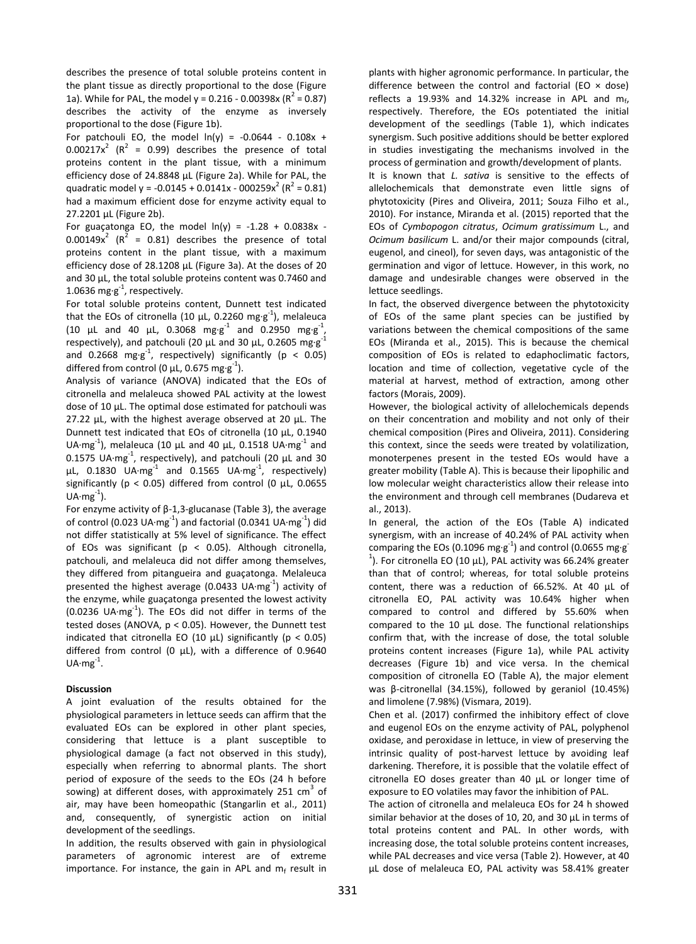describes the presence of total soluble proteins content in the plant tissue as directly proportional to the dose (Figure 1a). While for PAL, the model  $y = 0.216 - 0.00398x (R^2 = 0.87)$ describes the activity of the enzyme as inversely proportional to the dose (Figure 1b).

For patchouli EO, the model  $ln(y) = -0.0644 - 0.108x +$  $0.00217x^2$  ( $R^2 = 0.99$ ) describes the presence of total proteins content in the plant tissue, with a minimum efficiency dose of 24.8848 μL (Figure 2a). While for PAL, the quadratic model y = -0.0145 + 0.0141x - 000259x<sup>2</sup> ( $R^2$  = 0.81) had a maximum efficient dose for enzyme activity equal to 27.2201 μL (Figure 2b).

For guaçatonga EO, the model  $ln(y) = -1.28 + 0.0838x - 1.28$  $0.00149x^2$  ( $R^2 = 0.81$ ) describes the presence of total proteins content in the plant tissue, with a maximum efficiency dose of 28.1208 μL (Figure 3a). At the doses of 20 and 30 μL, the total soluble proteins content was 0.7460 and 1.0636 mg·g $^{-1}$ , respectively.

For total soluble proteins content, Dunnett test indicated that the EOs of citronella (10  $\mu$ L, 0.2260 mg·g<sup>-1</sup>), melaleuca (10  $\mu$ L and 40  $\mu$ L, 0.3068 mg·g<sup>-1</sup> and 0.2950 mg·g<sup>-1</sup>, respectively), and patchouli (20  $\mu$ L and 30  $\mu$ L, 0.2605 mg·g<sup>-1</sup> and 0.2668 mg·g<sup>-1</sup>, respectively) significantly (p < 0.05) differed from control (0  $\mu$ L, 0.675 mg·g<sup>-1</sup>).

Analysis of variance (ANOVA) indicated that the EOs of citronella and melaleuca showed PAL activity at the lowest dose of 10 μL. The optimal dose estimated for patchouli was 27.22 μL, with the highest average observed at 20 μL. The Dunnett test indicated that EOs of citronella (10 μL, 0.1940 UA·mg<sup>-1</sup>), melaleuca (10  $\mu$ L and 40  $\mu$ L, 0.1518 UA·mg<sup>-1</sup> and 0.1575 UA $\cdot$ mg<sup>-1</sup>, respectively), and patchouli (20  $\mu$ L and 30 μL, 0.1830 UA·mg<sup>-1</sup> and 0.1565 UA·mg<sup>-1</sup>, respectively) significantly (p < 0.05) differed from control (0 μL, 0.0655 UA $\cdot$ mg $^{-1}$ ).

For enzyme activity of β-1,3-glucanase (Table 3), the average of control (0.023 UA·mg $^{-1}$ ) and factorial (0.0341 UA·mg $^{-1}$ ) did not differ statistically at 5% level of significance. The effect of EOs was significant (p < 0.05). Although citronella, patchouli, and melaleuca did not differ among themselves, they differed from pitangueira and guaçatonga. Melaleuca presented the highest average (0.0433 UA $\cdot$ mg $^{-1}$ ) activity of the enzyme, while guaçatonga presented the lowest activity (0.0236 UA·mg-1 ). The EOs did not differ in terms of the tested doses (ANOVA, p < 0.05). However, the Dunnett test indicated that citronella EO (10  $\mu$ L) significantly (p < 0.05) differed from control (0 μL), with a difference of 0.9640  $UA·mg<sup>-1</sup>$ .

#### **Discussion**

A joint evaluation of the results obtained for the physiological parameters in lettuce seeds can affirm that the evaluated EOs can be explored in other plant species, considering that lettuce is a plant susceptible to physiological damage (a fact not observed in this study), especially when referring to abnormal plants. The short period of exposure of the seeds to the EOs (24 h before sowing) at different doses, with approximately 251  $\text{cm}^3$  of air, may have been homeopathic (Stangarlin et al., 2011) and, consequently, of synergistic action on initial development of the seedlings.

In addition, the results observed with gain in physiological parameters of agronomic interest are of extreme importance. For instance, the gain in APL and  $m_f$  result in

plants with higher agronomic performance. In particular, the difference between the control and factorial (EO  $\times$  dose) reflects a 19.93% and 14.32% increase in APL and  $m_f$ , respectively. Therefore, the EOs potentiated the initial development of the seedlings (Table 1), which indicates synergism. Such positive additions should be better explored in studies investigating the mechanisms involved in the process of germination and growth/development of plants.

It is known that *L. sativa* is sensitive to the effects of allelochemicals that demonstrate even little signs of phytotoxicity (Pires and Oliveira, 2011; Souza Filho et al., 2010). For instance, Miranda et al. (2015) reported that the EOs of *Cymbopogon citratus*, *Ocimum gratissimum* L., and *Ocimum basilicum* L. and/or their major compounds (citral, eugenol, and cineol), for seven days, was antagonistic of the germination and vigor of lettuce. However, in this work, no damage and undesirable changes were observed in the lettuce seedlings.

In fact, the observed divergence between the phytotoxicity of EOs of the same plant species can be justified by variations between the chemical compositions of the same EOs (Miranda et al., 2015). This is because the chemical composition of EOs is related to edaphoclimatic factors, location and time of collection, vegetative cycle of the material at harvest, method of extraction, among other factors (Morais, 2009).

However, the biological activity of allelochemicals depends on their concentration and mobility and not only of their chemical composition (Pires and Oliveira, 2011). Considering this context, since the seeds were treated by volatilization, monoterpenes present in the tested EOs would have a greater mobility (Table A). This is because their lipophilic and low molecular weight characteristics allow their release into the environment and through cell membranes (Dudareva et al., 2013).

In general, the action of the EOs (Table A) indicated synergism, with an increase of 40.24% of PAL activity when comparing the EOs (0.1096 mg·g<sup>-1</sup>) and control (0.0655 mg·g<sup>-</sup> <sup>1</sup>). For citronella EO (10 μL), PAL activity was 66.24% greater than that of control; whereas, for total soluble proteins content, there was a reduction of 66.52%. At 40 μL of citronella EO, PAL activity was 10.64% higher when compared to control and differed by 55.60% when compared to the 10 μL dose. The functional relationships confirm that, with the increase of dose, the total soluble proteins content increases (Figure 1a), while PAL activity decreases (Figure 1b) and vice versa. In the chemical composition of citronella EO (Table A), the major element was β-citronellal (34.15%), followed by geraniol (10.45%) and limolene (7.98%) (Vismara, 2019).

Chen et al. (2017) confirmed the inhibitory effect of clove and eugenol EOs on the enzyme activity of PAL, polyphenol oxidase, and peroxidase in lettuce, in view of preserving the intrinsic quality of post-harvest lettuce by avoiding leaf darkening. Therefore, it is possible that the volatile effect of citronella EO doses greater than 40 μL or longer time of exposure to EO volatiles may favor the inhibition of PAL.

The action of citronella and melaleuca EOs for 24 h showed similar behavior at the doses of 10, 20, and 30 μL in terms of total proteins content and PAL. In other words, with increasing dose, the total soluble proteins content increases, while PAL decreases and vice versa (Table 2). However, at 40 μL dose of melaleuca EO, PAL activity was 58.41% greater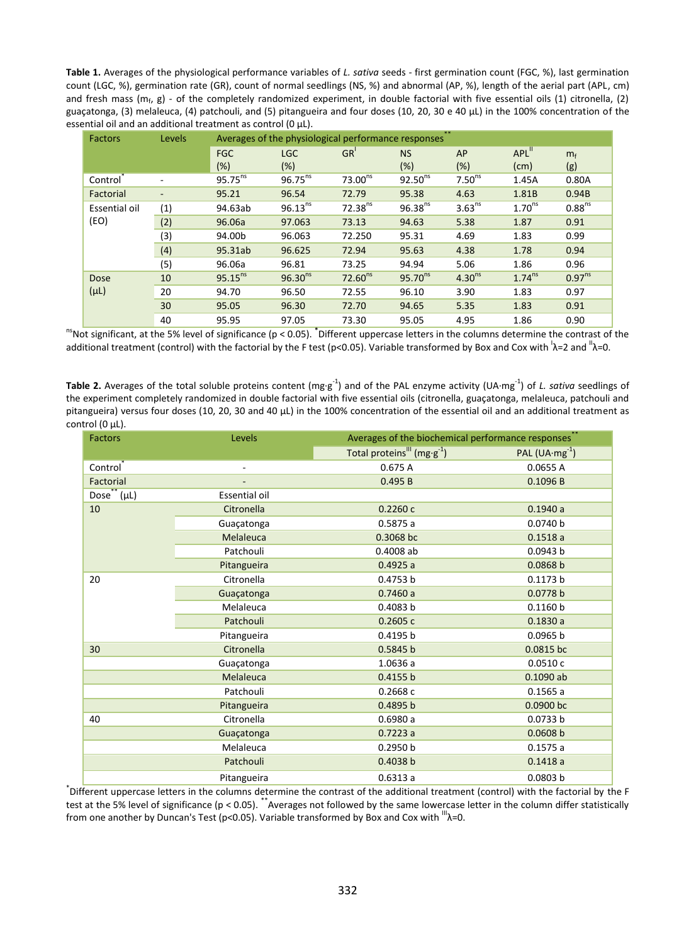**Table 1.** Averages of the physiological performance variables of *L. sativa* seeds *-* first germination count (FGC, %), last germination count (LGC, %), germination rate (GR), count of normal seedlings (NS, %) and abnormal (AP, %), length of the aerial part (APL, cm) and fresh mass ( $m_f$ , g) - of the completely randomized experiment, in double factorial with five essential oils (1) citronella, (2) guaçatonga, (3) melaleuca, (4) patchouli, and (5) pitangueira and four doses (10, 20, 30 e 40 μL) in the 100% concentration of the essential oil and an additional treatment as control (0 μL).

| <b>Factors</b>        | Levels | Averages of the physiological performance responses |              |                     |              |                    |                      |                    |
|-----------------------|--------|-----------------------------------------------------|--------------|---------------------|--------------|--------------------|----------------------|--------------------|
|                       |        | <b>FGC</b>                                          | <b>LGC</b>   | GR <sup>1</sup>     | <b>NS</b>    | AP                 | $APL$ <sup>11</sup>  | m <sub>f</sub>     |
|                       |        | (%)                                                 | (%)          |                     | (%)          | $(\%)$             | (cm)                 | (g)                |
| Control <sup>®</sup>  |        | $95.75^{ns}$                                        | $96.75^{ns}$ | 73.00 <sup>ns</sup> | $92.50^{ns}$ | 7.50 <sup>ns</sup> | 1.45A                | 0.80A              |
| Factorial             |        | 95.21                                               | 96.54        | 72.79               | 95.38        | 4.63               | 1.81B                | 0.94B              |
| Essential oil<br>(EO) | (1)    | 94.63ab                                             | $96.13^{ns}$ | $72.38^{ns}$        | $96.38^{ns}$ | 3.63 <sup>ns</sup> | 1.70 <sup>ns</sup>   | 0.88 <sup>ns</sup> |
|                       | (2)    | 96.06a                                              | 97.063       | 73.13               | 94.63        | 5.38               | 1.87                 | 0.91               |
|                       | (3)    | 94.00b                                              | 96.063       | 72.250              | 95.31        | 4.69               | 1.83                 | 0.99               |
|                       | (4)    | 95.31ab                                             | 96.625       | 72.94               | 95.63        | 4.38               | 1.78                 | 0.94               |
|                       | (5)    | 96.06a                                              | 96.81        | 73.25               | 94.94        | 5.06               | 1.86                 | 0.96               |
| Dose<br>$(\mu L)$     | 10     | $95.15^{ns}$                                        | $96.30^{ns}$ | 72.60 <sup>ns</sup> | $95.70^{ns}$ | 4.30 <sup>ns</sup> | $1.74$ <sup>ns</sup> | 0.97 <sup>ns</sup> |
|                       | 20     | 94.70                                               | 96.50        | 72.55               | 96.10        | 3.90               | 1.83                 | 0.97               |
|                       | 30     | 95.05                                               | 96.30        | 72.70               | 94.65        | 5.35               | 1.83                 | 0.91               |
|                       | 40     | 95.95                                               | 97.05        | 73.30               | 95.05        | 4.95               | 1.86                 | 0.90               |

<sup>ns</sup>Not significant, at the 5% level of significance (p < 0.05). <sup>\*</sup>Different uppercase letters in the columns determine the contrast of the additional treatment (control) with the factorial by the F test (p<0.05). Variable transformed by Box and Cox with <sup>1</sup>λ=2 and <sup>"</sup>λ=0.

Table 2. Averages of the total soluble proteins content (mg·g<sup>-1</sup>) and of the PAL enzyme activity (UA·mg<sup>-1</sup>) of *L. sativa* seedlings of the experiment completely randomized in double factorial with five essential oils (citronella, guaçatonga, melaleuca, patchouli and pitangueira) versus four doses (10, 20, 30 and 40 μL) in the 100% concentration of the essential oil and an additional treatment as control (0 μL).

| <b>Factors</b>               | Levels                   | Averages of the biochemical performance responses   |                    |  |
|------------------------------|--------------------------|-----------------------------------------------------|--------------------|--|
|                              |                          | Total proteins <sup>III</sup> (mg·g <sup>-1</sup> ) | PAL $(UA·mg^{-1})$ |  |
| Control                      | $\overline{\phantom{0}}$ | 0.675A                                              | 0.0655 A           |  |
| Factorial                    |                          | 0.495B                                              | 0.1096 B           |  |
| Dose <sup>**</sup> $(\mu L)$ | Essential oil            |                                                     |                    |  |
| 10                           | Citronella               | 0.2260c                                             | 0.1940a            |  |
|                              | Guaçatonga               | 0.5875a                                             | 0.0740 b           |  |
|                              | Melaleuca                | 0.3068 bc                                           | 0.1518a            |  |
|                              | Patchouli                | 0.4008 ab                                           | 0.0943 b           |  |
|                              | Pitangueira              | 0.4925a                                             | 0.0868 b           |  |
| 20                           | Citronella               | 0.4753 b                                            | 0.1173 b           |  |
|                              | Guaçatonga               | 0.7460a                                             | 0.0778 b           |  |
|                              | Melaleuca                | 0.4083 b                                            | 0.1160 b           |  |
|                              | Patchouli                | 0.2605c                                             | 0.1830a            |  |
|                              | Pitangueira              | 0.4195 b                                            | 0.0965 b           |  |
| 30                           | Citronella               | 0.5845 b                                            | 0.0815 bc          |  |
|                              | Guaçatonga               | 1.0636 a                                            | 0.0510c            |  |
|                              | Melaleuca                | 0.4155 b                                            | $0.1090$ ab        |  |
|                              | Patchouli                | 0.2668c                                             | 0.1565a            |  |
|                              | Pitangueira              | 0.4895 b                                            | 0.0900 bc          |  |
| 40                           | Citronella               | 0.6980a                                             | 0.0733 b           |  |
|                              | Guaçatonga               | 0.7223a                                             | 0.0608 b           |  |
|                              | Melaleuca                | 0.2950 b                                            | 0.1575a            |  |
|                              | Patchouli                | 0.4038 b                                            | 0.1418a            |  |
|                              | Pitangueira              | 0.6313a                                             | 0.0803 b           |  |

\* Different uppercase letters in the columns determine the contrast of the additional treatment (control) with the factorial by the F test at the 5% level of significance (p < 0.05). \*\*Averages not followed by the same lowercase letter in the column differ statistically from one another by Duncan's Test (p<0.05). Variable transformed by Box and Cox with  $^{\text{III}}$  $\lambda$ =0.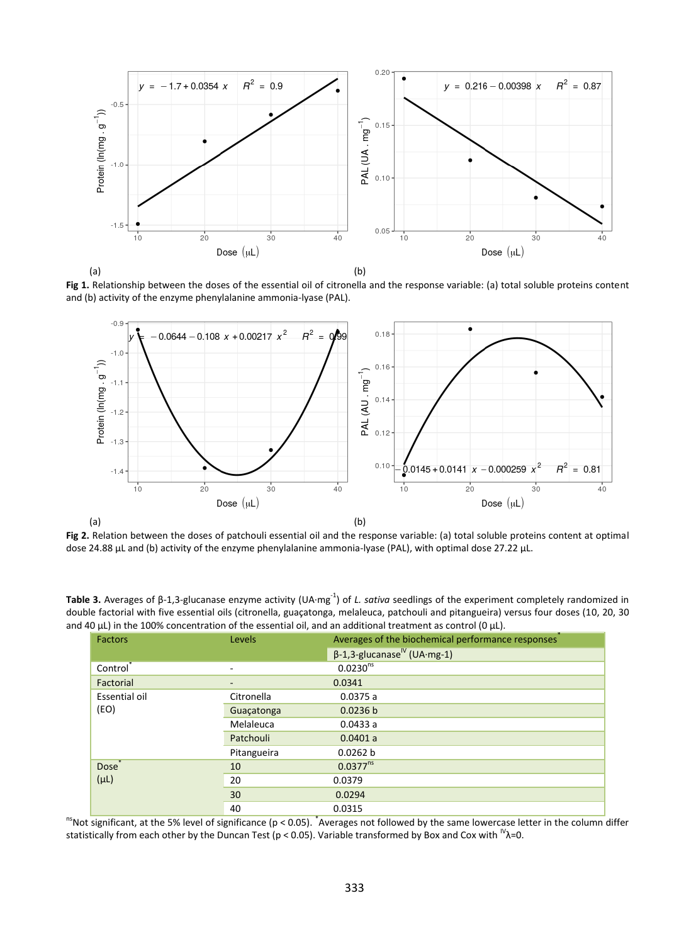

(a) (b)

**Fig 1.** Relationship between the doses of the essential oil of citronella and the response variable: (a) total soluble proteins content and (b) activity of the enzyme phenylalanine ammonia-lyase (PAL).



**Fig 2.** Relation between the doses of patchouli essential oil and the response variable: (a) total soluble proteins content at optimal dose 24.88 μL and (b) activity of the enzyme phenylalanine ammonia-lyase (PAL), with optimal dose 27.22 μL.

Table 3. Averages of β-1,3-glucanase enzyme activity (UA·mg<sup>-1</sup>) of *L. sativa* seedlings of the experiment completely randomized in double factorial with five essential oils (citronella, guaçatonga, melaleuca, patchouli and pitangueira) versus four doses (10, 20, 30 and 40 μL) in the 100% concentration of the essential oil, and an additional treatment as control (0 μL).

| <b>Factors</b>       | Levels                   | Averages of the biochemical performance responses |
|----------------------|--------------------------|---------------------------------------------------|
|                      |                          | $\beta$ -1,3-glucanase <sup>lv</sup> (UA·mg-1)    |
| Control <sup>®</sup> | $\overline{\phantom{a}}$ | 0.0230 <sup>ns</sup>                              |
| Factorial            | $\overline{\phantom{a}}$ | 0.0341                                            |
| Essential oil        | Citronella               | 0.0375a                                           |
| (EO)                 | Guaçatonga               | 0.0236 b                                          |
|                      | Melaleuca                | 0.0433a                                           |
|                      | Patchouli                | 0.0401 a                                          |
|                      | Pitangueira              | 0.0262 b                                          |
| Dose <sup>®</sup>    | 10                       | $0.0377^{ns}$                                     |
| $(\mu L)$            | 20                       | 0.0379                                            |
|                      | 30                       | 0.0294                                            |
|                      | 40                       | 0.0315                                            |

<sup>ns</sup>Not significant, at the 5% level of significance (p < 0.05). <sup>\*</sup>Averages not followed by the same lowercase letter in the column differ statistically from each other by the Duncan Test ( $p < 0.05$ ). Variable transformed by Box and Cox with  $N_{\rm A=0}$ .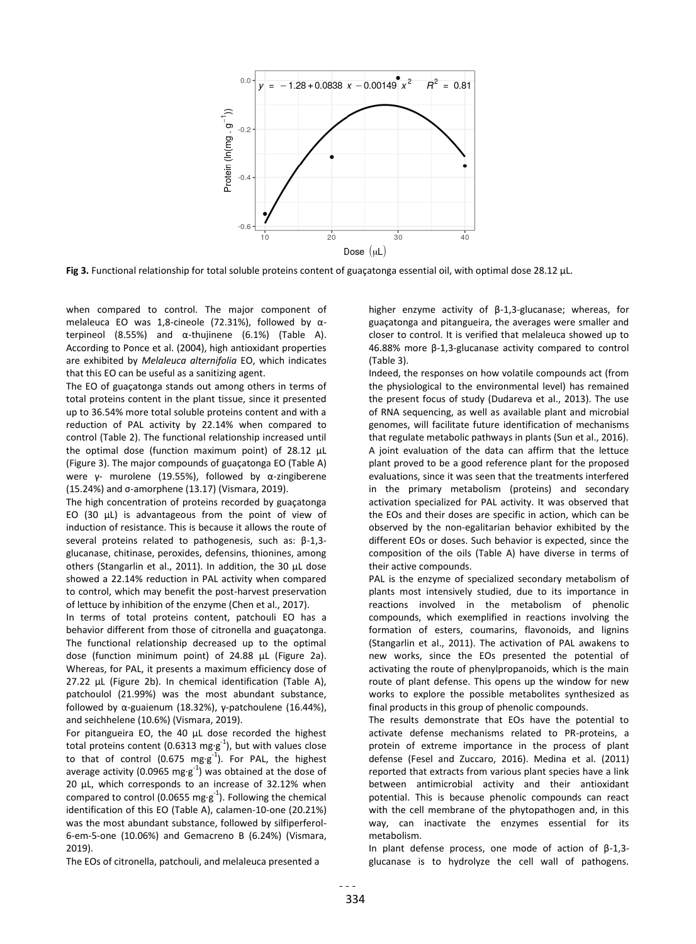

**Fig 3.** Functional relationship for total soluble proteins content of guaçatonga essential oil, with optimal dose 28.12 μL.

when compared to control. The major component of melaleuca EO was 1,8-cineole (72.31%), followed by αterpineol (8.55%) and α-thujinene (6.1%) (Table A). According to Ponce et al. (2004), high antioxidant properties are exhibited by *Melaleuca alternifolia* EO, which indicates that this EO can be useful as a sanitizing agent.

The EO of guaçatonga stands out among others in terms of total proteins content in the plant tissue, since it presented up to 36.54% more total soluble proteins content and with a reduction of PAL activity by 22.14% when compared to control (Table 2). The functional relationship increased until the optimal dose (function maximum point) of 28.12 μL (Figure 3). The major compounds of guaçatonga EO (Table A) were γ- murolene (19.55%), followed by α-zingiberene (15.24%) and σ-amorphene (13.17) (Vismara, 2019).

The high concentration of proteins recorded by guaçatonga EO (30 μL) is advantageous from the point of view of induction of resistance. This is because it allows the route of several proteins related to pathogenesis, such as: β-1,3 glucanase, chitinase, peroxides, defensins, thionines, among others (Stangarlin et al., 2011). In addition, the 30 μL dose showed a 22.14% reduction in PAL activity when compared to control, which may benefit the post-harvest preservation of lettuce by inhibition of the enzyme (Chen et al., 2017).

In terms of total proteins content, patchouli EO has a behavior different from those of citronella and guaçatonga. The functional relationship decreased up to the optimal dose (function minimum point) of 24.88 μL (Figure 2a). Whereas, for PAL, it presents a maximum efficiency dose of 27.22 μL (Figure 2b). In chemical identification (Table A), patchoulol (21.99%) was the most abundant substance, followed by α-guaienum (18.32%), γ-patchoulene (16.44%), and seichhelene (10.6%) (Vismara, 2019).

For pitangueira EO, the 40 μL dose recorded the highest total proteins content (0.6313 mg·g<sup>-1</sup>), but with values close to that of control (0.675  $mg \cdot g^{-1}$ ). For PAL, the highest average activity (0.0965 mg·g<sup>-1</sup>) was obtained at the dose of 20 μL, which corresponds to an increase of 32.12% when compared to control (0.0655 mg·g<sup>-1</sup>). Following the chemical identification of this EO (Table A), calamen-10-one (20.21%) was the most abundant substance, followed by silfiperferol-6-em-5-one (10.06%) and Gemacreno B (6.24%) (Vismara, 2019).

The EOs of citronella, patchouli, and melaleuca presented a

higher enzyme activity of β-1,3-glucanase; whereas, for guaçatonga and pitangueira, the averages were smaller and closer to control. It is verified that melaleuca showed up to 46.88% more β-1,3-glucanase activity compared to control (Table 3).

Indeed, the responses on how volatile compounds act (from the physiological to the environmental level) has remained the present focus of study (Dudareva et al., 2013). The use of RNA sequencing, as well as available plant and microbial genomes, will facilitate future identification of mechanisms that regulate metabolic pathways in plants (Sun et al., 2016). A joint evaluation of the data can affirm that the lettuce plant proved to be a good reference plant for the proposed evaluations, since it was seen that the treatments interfered in the primary metabolism (proteins) and secondary activation specialized for PAL activity. It was observed that the EOs and their doses are specific in action, which can be observed by the non-egalitarian behavior exhibited by the different EOs or doses. Such behavior is expected, since the composition of the oils (Table A) have diverse in terms of their active compounds.

PAL is the enzyme of specialized secondary metabolism of plants most intensively studied, due to its importance in reactions involved in the metabolism of phenolic compounds, which exemplified in reactions involving the formation of esters, coumarins, flavonoids, and lignins (Stangarlin et al., 2011). The activation of PAL awakens to new works, since the EOs presented the potential of activating the route of phenylpropanoids, which is the main route of plant defense. This opens up the window for new works to explore the possible metabolites synthesized as final products in this group of phenolic compounds.

The results demonstrate that EOs have the potential to activate defense mechanisms related to PR-proteins, a protein of extreme importance in the process of plant defense (Fesel and Zuccaro, 2016). Medina et al. (2011) reported that extracts from various plant species have a link between antimicrobial activity and their antioxidant potential. This is because phenolic compounds can react with the cell membrane of the phytopathogen and, in this way, can inactivate the enzymes essential for its metabolism.

In plant defense process, one mode of action of β-1,3 glucanase is to hydrolyze the cell wall of pathogens.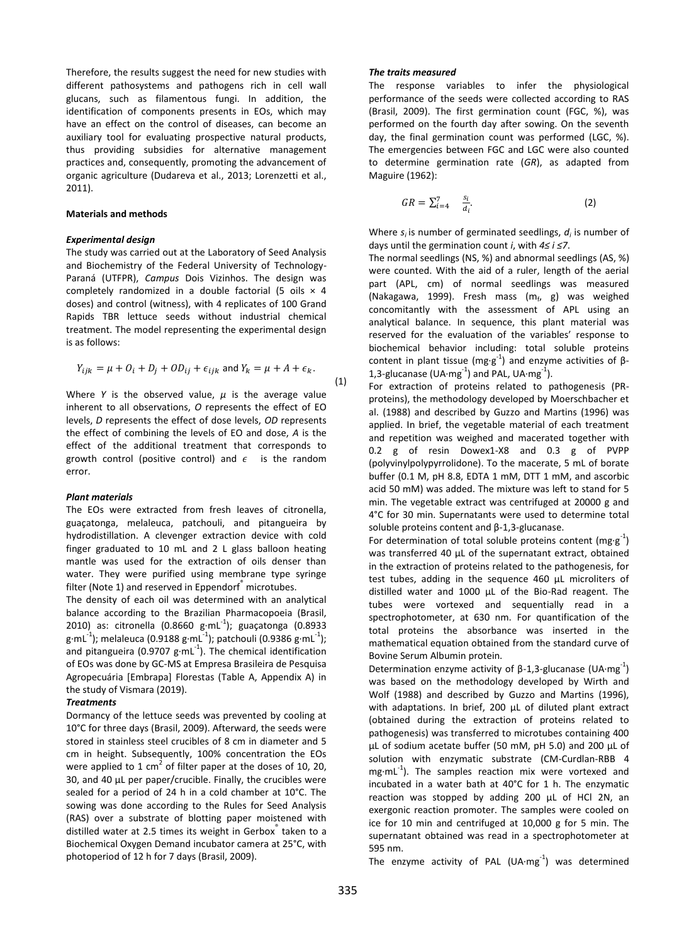Therefore, the results suggest the need for new studies with different pathosystems and pathogens rich in cell wall glucans, such as filamentous fungi. In addition, the identification of components presents in EOs, which may have an effect on the control of diseases, can become an auxiliary tool for evaluating prospective natural products, thus providing subsidies for alternative management practices and, consequently, promoting the advancement of organic agriculture (Dudareva et al., 2013; Lorenzetti et al., 2011).

#### **Materials and methods**

## *Experimental design*

The study was carried out at the Laboratory of Seed Analysis and Biochemistry of the Federal University of Technology-Paraná (UTFPR), *Campus* Dois Vizinhos. The design was completely randomized in a double factorial (5 oils  $\times$  4 doses) and control (witness), with 4 replicates of 100 Grand Rapids TBR lettuce seeds without industrial chemical treatment. The model representing the experimental design is as follows:

$$
Y_{ijk} = \mu + O_i + D_j + OD_{ij} + \epsilon_{ijk} \text{ and } Y_k = \mu + A + \epsilon_k.
$$
\n(1)

Where *Y* is the observed value,  $\mu$  is the average value inherent to all observations, *O* represents the effect of EO levels, *D* represents the effect of dose levels, *OD* represents the effect of combining the levels of EO and dose, *A* is the effect of the additional treatment that corresponds to growth control (positive control) and  $\epsilon$  is the random error.

#### *Plant materials*

The EOs were extracted from fresh leaves of citronella, guaçatonga, melaleuca, patchouli, and pitangueira by hydrodistillation. A clevenger extraction device with cold finger graduated to 10 mL and 2 L glass balloon heating mantle was used for the extraction of oils denser than water. They were purified using membrane type syringe filter (Note 1) and reserved in Eppendorf<sup>®</sup> microtubes.

The density of each oil was determined with an analytical balance according to the Brazilian Pharmacopoeia (Brasil, 2010) as: citronella (0.8660  $g \cdot mL^{-1}$ ); guaçatonga (0.8933 g·mL $^{-1}$ ); melaleuca (0.9188 g·mL $^{-1}$ ); patchouli (0.9386 g·mL $^{-1}$ ); and pitangueira (0.9707  $g \cdot mL^{-1}$ ). The chemical identification of EOs was done by GC-MS at Empresa Brasileira de Pesquisa Agropecuária [Embrapa] Florestas (Table A, Appendix A) in the study of Vismara (2019).

#### *Treatments*

Dormancy of the lettuce seeds was prevented by cooling at 10°C for three days (Brasil, 2009). Afterward, the seeds were stored in stainless steel crucibles of 8 cm in diameter and 5 cm in height. Subsequently, 100% concentration the EOs were applied to 1 cm<sup>2</sup> of filter paper at the doses of 10, 20, 30, and 40 μL per paper/crucible. Finally, the crucibles were sealed for a period of 24 h in a cold chamber at 10°C. The sowing was done according to the Rules for Seed Analysis (RAS) over a substrate of blotting paper moistened with distilled water at 2.5 times its weight in Gerbox® taken to a Biochemical Oxygen Demand incubator camera at 25°C, with photoperiod of 12 h for 7 days (Brasil, 2009).

#### *The traits measured*

The response variables to infer the physiological performance of the seeds were collected according to RAS (Brasil, 2009). The first germination count (FGC, %), was performed on the fourth day after sowing. On the seventh day, the final germination count was performed (LGC, %). The emergencies between FGC and LGC were also counted to determine germination rate (*GR*), as adapted from Maguire (1962):

$$
GR = \sum_{i=4}^{7} \frac{s_i}{d_i}.\tag{2}
$$

Where *si* is number of germinated seedlings, *d<sup>i</sup>* is number of days until the germination count *i*, with *4≤ i ≤7*.

The normal seedlings (NS, %) and abnormal seedlings (AS, %) were counted. With the aid of a ruler, length of the aerial part (APL, cm) of normal seedlings was measured (Nakagawa, 1999). Fresh mass (m<sub>f</sub>, g) was weighed concomitantly with the assessment of APL using an analytical balance. In sequence, this plant material was reserved for the evaluation of the variables' response to biochemical behavior including: total soluble proteins content in plant tissue (mg·g<sup>-1</sup>) and enzyme activities of  $\beta$ -1,3-glucanase (UA·mg $^{-1}$ ) and PAL, UA·mg $^{-1}$ ).

For extraction of proteins related to pathogenesis (PRproteins), the methodology developed by Moerschbacher et al. (1988) and described by Guzzo and Martins (1996) was applied. In brief, the vegetable material of each treatment and repetition was weighed and macerated together with 0.2 g of resin Dowex1-X8 and 0.3 g of PVPP (polyvinylpolypyrrolidone). To the macerate, 5 mL of borate buffer (0.1 M, pH 8.8, EDTA 1 mM, DTT 1 mM, and ascorbic acid 50 mM) was added. The mixture was left to stand for 5 min. The vegetable extract was centrifuged at 20000 g and 4°C for 30 min. Supernatants were used to determine total soluble proteins content and β-1,3-glucanase.

For determination of total soluble proteins content (mg·g<sup>-1</sup>) was transferred 40 µL of the supernatant extract, obtained in the extraction of proteins related to the pathogenesis, for test tubes, adding in the sequence 460 µL microliters of distilled water and 1000 µL of the Bio-Rad reagent. The tubes were vortexed and sequentially read in a spectrophotometer, at 630 nm. For quantification of the total proteins the absorbance was inserted in the mathematical equation obtained from the standard curve of Bovine Serum Albumin protein.

Determination enzyme activity of  $\beta$ -1,3-glucanase (UA·mg<sup>-1</sup>) was based on the methodology developed by Wirth and Wolf (1988) and described by Guzzo and Martins (1996), with adaptations. In brief, 200 μL of diluted plant extract (obtained during the extraction of proteins related to pathogenesis) was transferred to microtubes containing 400 µL of sodium acetate buffer (50 mM, pH 5.0) and 200 µL of solution with enzymatic substrate (CM-Curdlan-RBB 4 mg·mL<sup>-1</sup>). The samples reaction mix were vortexed and incubated in a water bath at 40°C for 1 h. The enzymatic reaction was stopped by adding 200 µL of HCl 2N, an exergonic reaction promoter. The samples were cooled on ice for 10 min and centrifuged at 10,000 g for 5 min. The supernatant obtained was read in a spectrophotometer at 595 nm.

The enzyme activity of PAL (UA $\cdot$ mg $^{-1}$ ) was determined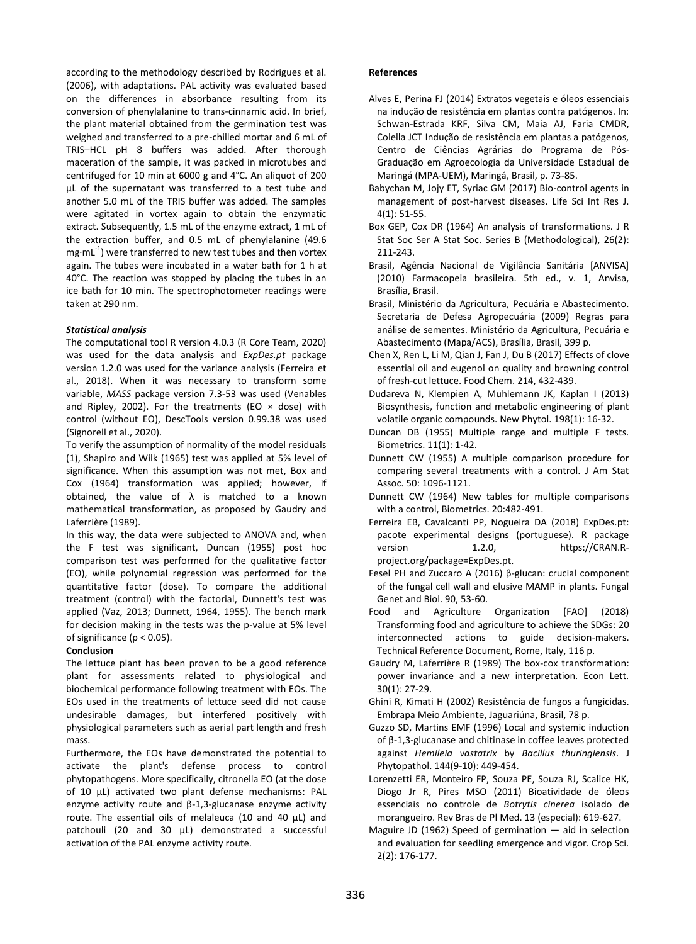according to the methodology described by Rodrigues et al. (2006), with adaptations. PAL activity was evaluated based on the differences in absorbance resulting from its conversion of phenylalanine to trans-cinnamic acid. In brief, the plant material obtained from the germination test was weighed and transferred to a pre-chilled mortar and 6 mL of TRIS–HCL pH 8 buffers was added. After thorough maceration of the sample, it was packed in microtubes and centrifuged for 10 min at 6000 g and 4°C. An aliquot of 200 μL of the supernatant was transferred to a test tube and another 5.0 mL of the TRIS buffer was added. The samples were agitated in vortex again to obtain the enzymatic extract. Subsequently, 1.5 mL of the enzyme extract, 1 mL of the extraction buffer, and 0.5 mL of phenylalanine (49.6  $mg \cdot mL^{-1}$ ) were transferred to new test tubes and then vortex again. The tubes were incubated in a water bath for 1 h at 40°C. The reaction was stopped by placing the tubes in an ice bath for 10 min. The spectrophotometer readings were taken at 290 nm.

## *Statistical analysis*

The computational tool R version 4.0.3 (R Core Team, 2020) was used for the data analysis and *ExpDes.pt* package version 1.2.0 was used for the variance analysis (Ferreira et al., 2018). When it was necessary to transform some variable, *MASS* package version 7.3-53 was used (Venables and Ripley, 2002). For the treatments (EO  $\times$  dose) with control (without EO), DescTools version 0.99.38 was used (Signorell et al., 2020).

To verify the assumption of normality of the model residuals (1), Shapiro and Wilk (1965) test was applied at 5% level of significance. When this assumption was not met, Box and Cox (1964) transformation was applied; however, if obtained, the value of  $\lambda$  is matched to a known mathematical transformation, as proposed by Gaudry and Laferrière (1989).

In this way, the data were subjected to ANOVA and, when the F test was significant, Duncan (1955) post hoc comparison test was performed for the qualitative factor (EO), while polynomial regression was performed for the quantitative factor (dose). To compare the additional treatment (control) with the factorial, Dunnett's test was applied (Vaz, 2013; Dunnett, 1964, 1955). The bench mark for decision making in the tests was the p-value at 5% level of significance (p < 0.05).

## **Conclusion**

The lettuce plant has been proven to be a good reference plant for assessments related to physiological and biochemical performance following treatment with EOs. The EOs used in the treatments of lettuce seed did not cause undesirable damages, but interfered positively with physiological parameters such as aerial part length and fresh mass.

Furthermore, the EOs have demonstrated the potential to activate the plant's defense process to control phytopathogens. More specifically, citronella EO (at the dose of 10 μL) activated two plant defense mechanisms: PAL enzyme activity route and β-1,3-glucanase enzyme activity route. The essential oils of melaleuca (10 and 40 μL) and patchouli (20 and 30 μL) demonstrated a successful activation of the PAL enzyme activity route.

## **References**

- Alves E, Perina FJ (2014) Extratos vegetais e óleos essenciais na indução de resistência em plantas contra patógenos. In: Schwan-Estrada KRF, Silva CM, Maia AJ, Faria CMDR, Colella JCT Indução de resistência em plantas a patógenos, Centro de Ciências Agrárias do Programa de Pós-Graduação em Agroecologia da Universidade Estadual de Maringá (MPA-UEM), Maringá, Brasil, p. 73-85.
- Babychan M, Jojy ET, Syriac GM (2017) Bio-control agents in management of post-harvest diseases. Life Sci Int Res J. 4(1): 51-55.
- Box GEP, Cox DR (1964) An analysis of transformations. J R Stat Soc Ser A Stat Soc. Series B (Methodological), 26(2): 211-243.
- Brasil, Agência Nacional de Vigilância Sanitária [ANVISA] (2010) Farmacopeia brasileira. 5th ed., v. 1, Anvisa, Brasília, Brasil.
- Brasil, Ministério da Agricultura, Pecuária e Abastecimento. Secretaria de Defesa Agropecuária (2009) Regras para análise de sementes. Ministério da Agricultura, Pecuária e Abastecimento (Mapa/ACS), Brasília, Brasil, 399 p.
- Chen X, Ren L, Li M, Qian J, Fan J, Du B (2017) Effects of clove essential oil and eugenol on quality and browning control of fresh-cut lettuce. Food Chem. 214, 432-439.
- Dudareva N, Klempien A, Muhlemann JK, Kaplan I (2013) Biosynthesis, function and metabolic engineering of plant volatile organic compounds. New Phytol. 198(1): 16-32.
- Duncan DB (1955) Multiple range and multiple F tests. Biometrics. 11(1): 1-42.
- Dunnett CW (1955) A multiple comparison procedure for comparing several treatments with a control. J Am Stat Assoc. 50: 1096-1121.
- Dunnett CW (1964) New tables for multiple comparisons with a control, Biometrics. 20:482-491.
- Ferreira EB, Cavalcanti PP, Nogueira DA (2018) ExpDes.pt: pacote experimental designs (portuguese). R package version 1.2.0, https://CRAN.Rproject.org/package=ExpDes.pt.
- Fesel PH and Zuccaro A (2016) β-glucan: crucial component of the fungal cell wall and elusive MAMP in plants. Fungal Genet and Biol. 90, 53-60.
- Food and Agriculture Organization [FAO] (2018) Transforming food and agriculture to achieve the SDGs: 20 interconnected actions to guide decision-makers. Technical Reference Document, Rome, Italy, 116 p.
- Gaudry M, Laferrière R (1989) The box-cox transformation: power invariance and a new interpretation. Econ Lett. 30(1): 27-29.
- Ghini R, Kimati H (2002) Resistência de fungos a fungicidas. Embrapa Meio Ambiente, Jaguariúna, Brasil, 78 p.
- Guzzo SD, Martins EMF (1996) Local and systemic induction of β‐1,3‐glucanase and chitinase in coffee leaves protected against *Hemileia vastatrix* by *Bacillus thuringiensis*. J Phytopathol. 144(9‐10): 449-454.
- Lorenzetti ER, Monteiro FP, Souza PE, Souza RJ, Scalice HK, Diogo Jr R, Pires MSO (2011) Bioatividade de óleos essenciais no controle de *Botrytis cinerea* isolado de morangueiro. Rev Bras de Pl Med. 13 (especial): 619-627.
- Maguire JD (1962) Speed of germination aid in selection and evaluation for seedling emergence and vigor. Crop Sci. 2(2): 176-177.